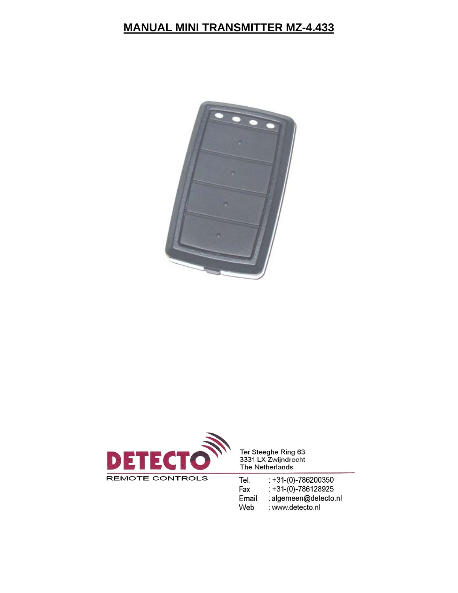## **MANUAL MINI TRANSMITTER MZ-4.433**





Ter Steeghe Ring 63<br>3331 LX Zwijndrecht The Netherlands

:  $+31-(0)-786200350$ Tel. Fax  $: +31-(0)-786128925$ : algemeen@detecto.nl Email : www.detecto.nl Web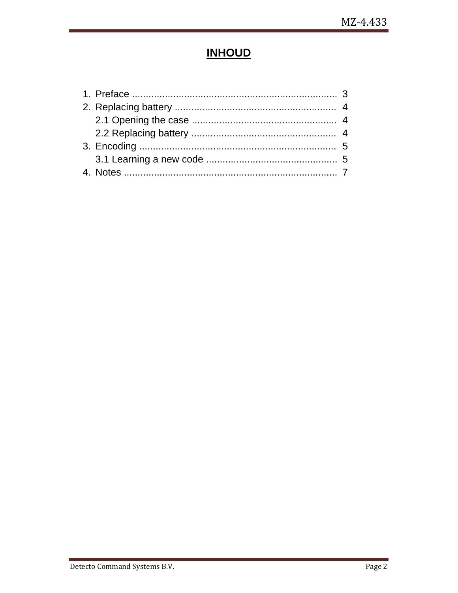## **INHOUD**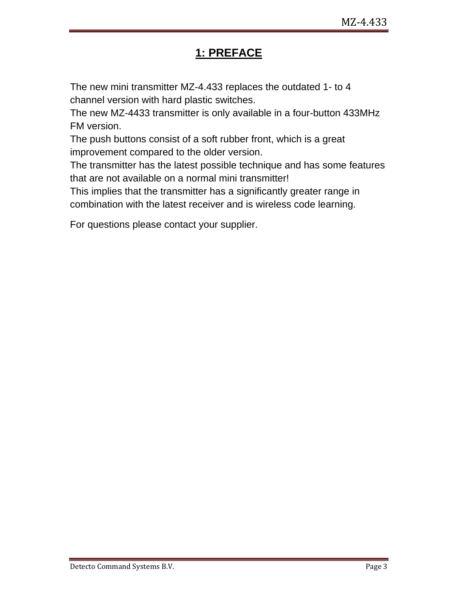## **1: PREFACE**

The new mini transmitter MZ-4.433 replaces the outdated 1- to 4 channel version with hard plastic switches.

The new MZ-4433 transmitter is only available in a four-button 433MHz FM version.

The push buttons consist of a soft rubber front, which is a great improvement compared to the older version.

The transmitter has the latest possible technique and has some features that are not available on a normal mini transmitter!

This implies that the transmitter has a significantly greater range in combination with the latest receiver and is wireless code learning.

For questions please contact your supplier.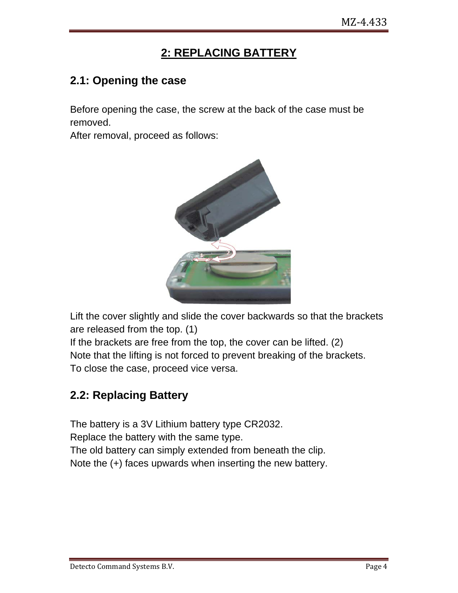## **2: REPLACING BATTERY**

#### **2.1: Opening the case**

Before opening the case, the screw at the back of the case must be removed.

After removal, proceed as follows:



Lift the cover slightly and slide the cover backwards so that the brackets are released from the top. (1)

If the brackets are free from the top, the cover can be lifted. (2) Note that the lifting is not forced to prevent breaking of the brackets. To close the case, proceed vice versa.

### **2.2: Replacing Battery**

The battery is a 3V Lithium battery type CR2032. Replace the battery with the same type. The old battery can simply extended from beneath the clip. Note the (+) faces upwards when inserting the new battery.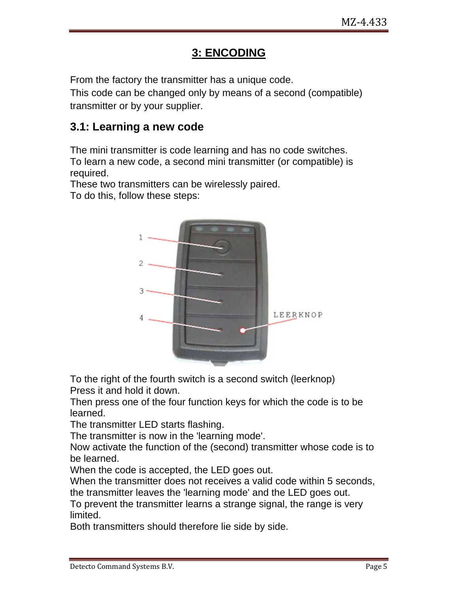## **3: ENCODING**

From the factory the transmitter has a unique code.

This code can be changed only by means of a second (compatible) transmitter or by your supplier.

#### **3.1: Learning a new code**

The mini transmitter is code learning and has no code switches. To learn a new code, a second mini transmitter (or compatible) is required.

These two transmitters can be wirelessly paired.

To do this, follow these steps:



To the right of the fourth switch is a second switch (leerknop) Press it and hold it down.

Then press one of the four function keys for which the code is to be learned.

The transmitter LED starts flashing.

The transmitter is now in the 'learning mode'.

Now activate the function of the (second) transmitter whose code is to be learned.

When the code is accepted, the LED goes out.

When the transmitter does not receives a valid code within 5 seconds, the transmitter leaves the 'learning mode' and the LED goes out.

To prevent the transmitter learns a strange signal, the range is very limited.

Both transmitters should therefore lie side by side.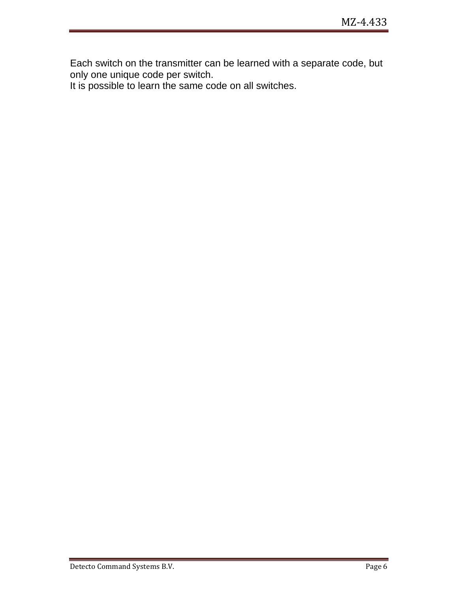Each switch on the transmitter can be learned with a separate code, but only one unique code per switch.

It is possible to learn the same code on all switches.